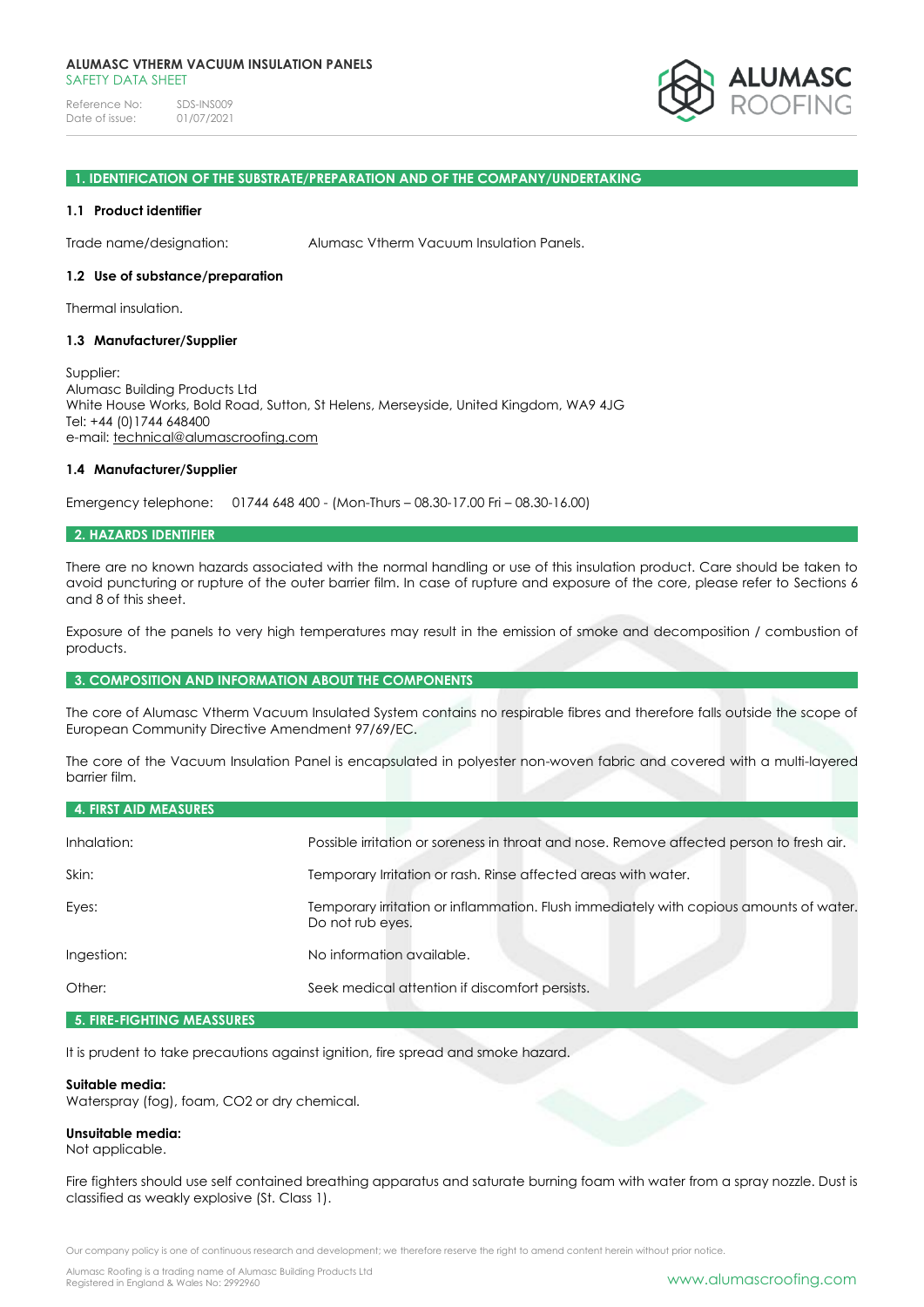Reference No: SDS-INS009<br>Date of issue: 01/07/2021 Date of issue:



#### **1. IDENTIFICATION OF THE SUBSTRATE/PREPARATION AND OF THE COMPANY/UNDERTAKING**

### **1.1 Product identifier**

Trade name/designation: Alumasc Vtherm Vacuum Insulation Panels.

### **1.2 Use of substance/preparation**

Thermal insulation.

## **1.3 Manufacturer/Supplier**

Supplier: Alumasc Building Products Ltd White House Works, Bold Road, Sutton, St Helens, Merseyside, United Kingdom, WA9 4JG Tel: +44 (0)1744 648400 e-mail: [technical@alumascroofing.com](mailto:technical@alumascroofing.com)

## **1.4 Manufacturer/Supplier**

Emergency telephone: 01744 648 400 - (Mon-Thurs – 08.30-17.00 Fri – 08.30-16.00)

#### **2. HAZARDS IDENTIFIER**

There are no known hazards associated with the normal handling or use of this insulation product. Care should be taken to avoid puncturing or rupture of the outer barrier film. In case of rupture and exposure of the core, please refer to Sections 6 and 8 of this sheet.

Exposure of the panels to very high temperatures may result in the emission of smoke and decomposition / combustion of products.

### **3. COMPOSITION AND INFORMATION ABOUT THE COMPONENTS**

The core of Alumasc Vtherm Vacuum Insulated System contains no respirable fibres and therefore falls outside the scope of European Community Directive Amendment 97/69/EC.

The core of the Vacuum Insulation Panel is encapsulated in polyester non-woven fabric and covered with a multi-layered barrier film.

| <b>4. FIRST AID MEASURES</b> |                                                                                                            |
|------------------------------|------------------------------------------------------------------------------------------------------------|
| Inhalation:                  | Possible irritation or soreness in throat and nose. Remove affected person to fresh air.                   |
| Skin:                        | Temporary Irritation or rash. Rinse affected areas with water.                                             |
| Eyes:                        | Temporary irritation or inflammation. Flush immediately with copious amounts of water.<br>Do not rub eyes. |
| Ingestion:                   | No information available.                                                                                  |
| Other:                       | Seek medical attention if discomfort persists.                                                             |

# **5. FIRE-FIGHTING MEASSURES**

It is prudent to take precautions against ignition, fire spread and smoke hazard.

## **Suitable media:**

Waterspray (fog), foam, CO2 or dry chemical.

# **Unsuitable media:**

Not applicable.

Fire fighters should use self contained breathing apparatus and saturate burning foam with water from a spray nozzle. Dust is classified as weakly explosive (St. Class 1).

Our company policy is one of continuous research and development; we therefore reserve the right to amend content herein without prior notice.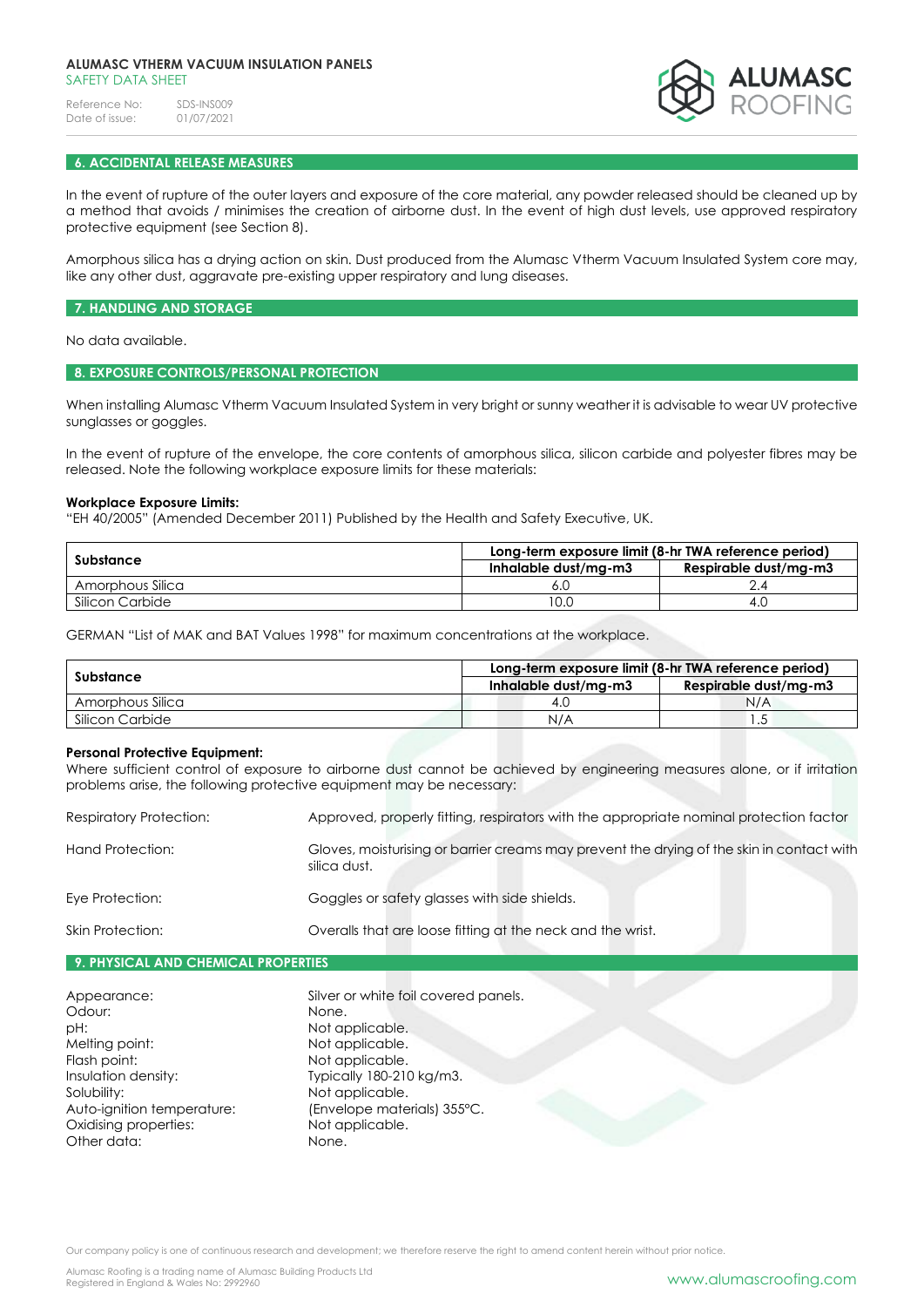## **ALUMASC VTHERM VACUUM INSULATION PANELS** SAFETY DATA SHEET

Reference No: SDS-INS009<br>Date of issue: 01/07/2021 Date of issue:



## **6. ACCIDENTAL RELEASE MEASURES**

In the event of rupture of the outer layers and exposure of the core material, any powder released should be cleaned up by a method that avoids / minimises the creation of airborne dust. In the event of high dust levels, use approved respiratory protective equipment (see Section 8).

Amorphous silica has a drying action on skin. Dust produced from the Alumasc Vtherm Vacuum Insulated System core may, like any other dust, aggravate pre-existing upper respiratory and lung diseases.

#### **7. HANDLING AND STORAGE**

No data available.

# **8. EXPOSURE CONTROLS/PERSONAL PROTECTION**

When installing Alumasc Vtherm Vacuum Insulated System in very bright or sunny weather it is advisable to wear UV protective sunglasses or goggles.

In the event of rupture of the envelope, the core contents of amorphous silica, silicon carbide and polyester fibres may be released. Note the following workplace exposure limits for these materials:

## **Workplace Exposure Limits:**

"EH 40/2005" (Amended December 2011) Published by the Health and Safety Executive, UK.

|                  | Long-term exposure limit (8-hr TWA reference period) |                       |  |
|------------------|------------------------------------------------------|-----------------------|--|
| Substance        | Inhalable dust/mg-m3                                 | Respirable dust/mg-m3 |  |
| Amorphous Silica | 6.U                                                  |                       |  |
| Silicon Carbide  | 10.0                                                 | 4.U                   |  |

GERMAN "List of MAK and BAT Values 1998" for maximum concentrations at the workplace.

| Substance        | Long-term exposure limit (8-hr TWA reference period) |                       |
|------------------|------------------------------------------------------|-----------------------|
|                  | Inhalable dust/ma-m3                                 | Respirable dust/ma-m3 |
| Amorphous Silica | 4.U                                                  | N/A                   |
| Silicon Carbide  | N/A                                                  | ے ، ا                 |

### **Personal Protective Equipment:**

Where sufficient control of exposure to airborne dust cannot be achieved by engineering measures alone, or if irritation problems arise, the following protective equipment may be necessary:

| <b>Respiratory Protection:</b> | Approved, properly fitting, respirators with the appropriate nominal protection factor                    |
|--------------------------------|-----------------------------------------------------------------------------------------------------------|
| Hand Protection:               | Gloves, moisturising or barrier creams may prevent the drying of the skin in contact with<br>silica dust. |
| Eye Protection:                | Goggles or safety glasses with side shields.                                                              |
| Skin Protection:               | Overalls that are loose fitting at the neck and the wrist.                                                |

# **9. PHYSICAL AND CHEMICAL PROPERTIES**

| Appearance:                | Silver or white foil covered panels. |
|----------------------------|--------------------------------------|
| Odour:                     | None.                                |
| pH:                        | Not applicable.                      |
| Melting point:             | Not applicable.                      |
| Flash point:               | Not applicable.                      |
| Insulation density:        | Typically 180-210 kg/m3.             |
| Solubility:                | Not applicable.                      |
| Auto-ignition temperature: | (Envelope materials) 355°C.          |
| Oxidising properties:      | Not applicable.                      |
| Other data:                | None.                                |

Our company policy is one of continuous research and development; we therefore reserve the right to amend content herein without prior notice.